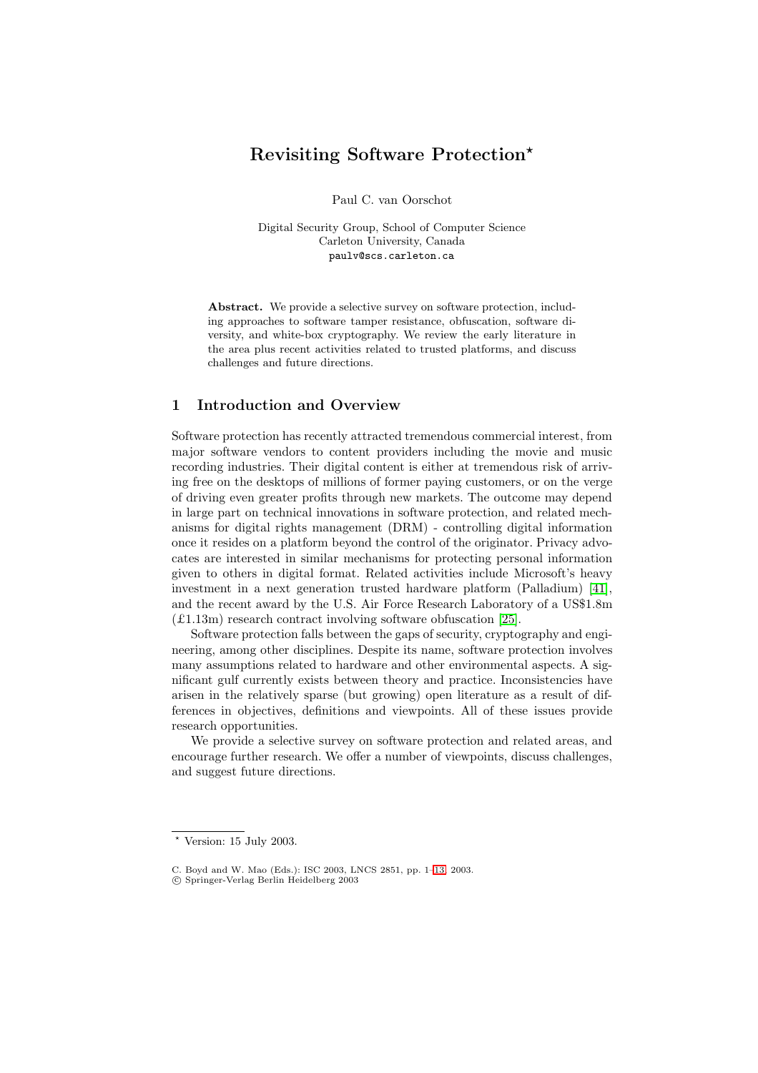# **Revisiting Software Protection**

Paul C. van Oorschot

Digital Security Group, School of Computer Science Carleton University, Canada paulv@scs.carleton.ca

**Abstract.** We provide a selective survey on software protection, including approaches to software tamper resistance, obfuscation, software diversity, and white-box cryptography. We review the early literature in the area plus recent activities related to trusted platforms, and discuss challenges and future directions.

## **1 Introduction and Overview**

Software protection has recently attracted tremendous commercial interest, from major software vendors to content providers including the movie and music recording industries. Their digital content is either at tremendous risk of arriving free on the desktops of millions of former paying customers, or on the verge of driving even greater profits through new markets. The outcome may depend in large part on technical innovations in software protection, and related mechanisms for digital rights management (DRM) - controlling digital information once it resides on a platform beyond the control of the originator. Privacy advocates are interested in similar mechanisms for protecting personal information given to others in digital format. Related activities include Microsoft's heavy investment in a next generation trusted hardware platform (Palladium) [\[41\]](#page-12-0), and the recent award by the U.S. Air Force Research Laboratory of a US\$1.8m (£1.13m) research contract involving software obfuscation [\[25\]](#page-11-0).

Software protection falls between the gaps of security, cryptography and engineering, among other disciplines. Despite its name, software protection involves many assumptions related to hardware and other environmental aspects. A significant gulf currently exists between theory and practice. Inconsistencies have arisen in the relatively sparse (but growing) open literature as a result of differences in objectives, definitions and viewpoints. All of these issues provide research opportunities.

We provide a selective survey on software protection and related areas, and encourage further research. We offer a number of viewpoints, discuss challenges, and suggest future directions.

 $*$  Version: 15 July 2003.

C. Boyd and W. Mao (Eds.): ISC 2003, LNCS 2851, pp. 1[–13,](#page-11-1) 2003.

c Springer-Verlag Berlin Heidelberg 2003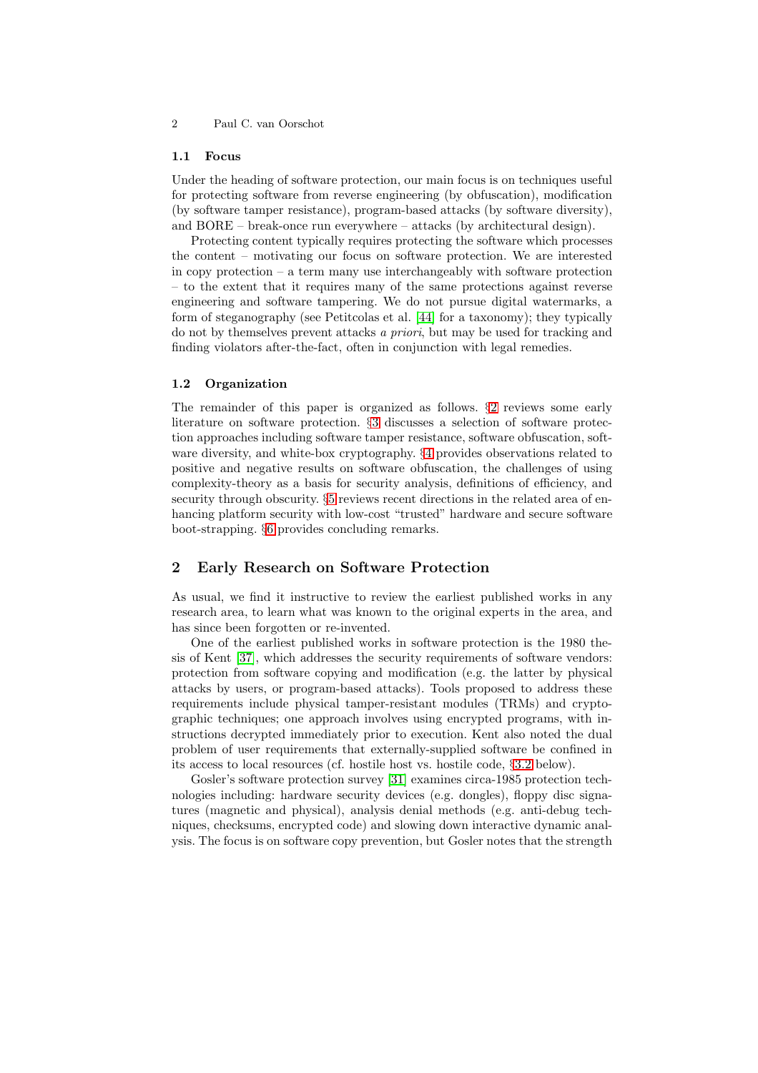#### **1.1 Focus**

Under the heading of software protection, our main focus is on techniques useful for protecting software from reverse engineering (by obfuscation), modification (by software tamper resistance), program-based attacks (by software diversity), and BORE – break-once run everywhere – attacks (by architectural design).

Protecting content typically requires protecting the software which processes the content – motivating our focus on software protection. We are interested in copy protection – a term many use interchangeably with software protection – to the extent that it requires many of the same protections against reverse engineering and software tampering. We do not pursue digital watermarks, a form of steganography (see Petitcolas et al. [\[44\]](#page-12-1) for a taxonomy); they typically do not by themselves prevent attacks *a priori*, but may be used for tracking and finding violators after-the-fact, often in conjunction with legal remedies.

### **1.2 Organization**

The remainder of this paper is organized as follows. *§*[2](#page-1-0) reviews some early literature on software protection. *§*[3](#page-2-0) discusses a selection of software protection approaches including software tamper resistance, software obfuscation, software diversity, and white-box cryptography. *§*[4](#page-6-0) provides observations related to positive and negative results on software obfuscation, the challenges of using complexity-theory as a basis for security analysis, definitions of efficiency, and security through obscurity. *§*[5](#page-8-0) reviews recent directions in the related area of enhancing platform security with low-cost "trusted" hardware and secure software boot-strapping. *§*[6](#page-9-0) provides concluding remarks.

## <span id="page-1-0"></span>**2 Early Research on Software Protection**

As usual, we find it instructive to review the earliest published works in any research area, to learn what was known to the original experts in the area, and has since been forgotten or re-invented.

One of the earliest published works in software protection is the 1980 thesis of Kent [\[37\]](#page-11-2), which addresses the security requirements of software vendors: protection from software copying and modification (e.g. the latter by physical attacks by users, or program-based attacks). Tools proposed to address these requirements include physical tamper-resistant modules (TRMs) and cryptographic techniques; one approach involves using encrypted programs, with instructions decrypted immediately prior to execution. Kent also noted the dual problem of user requirements that externally-supplied software be confined in its access to local resources (cf. hostile host vs. hostile code, *§*[3.2](#page-3-0) below).

Gosler's software protection survey [\[31\]](#page-11-3) examines circa-1985 protection technologies including: hardware security devices (e.g. dongles), floppy disc signatures (magnetic and physical), analysis denial methods (e.g. anti-debug techniques, checksums, encrypted code) and slowing down interactive dynamic analysis. The focus is on software copy prevention, but Gosler notes that the strength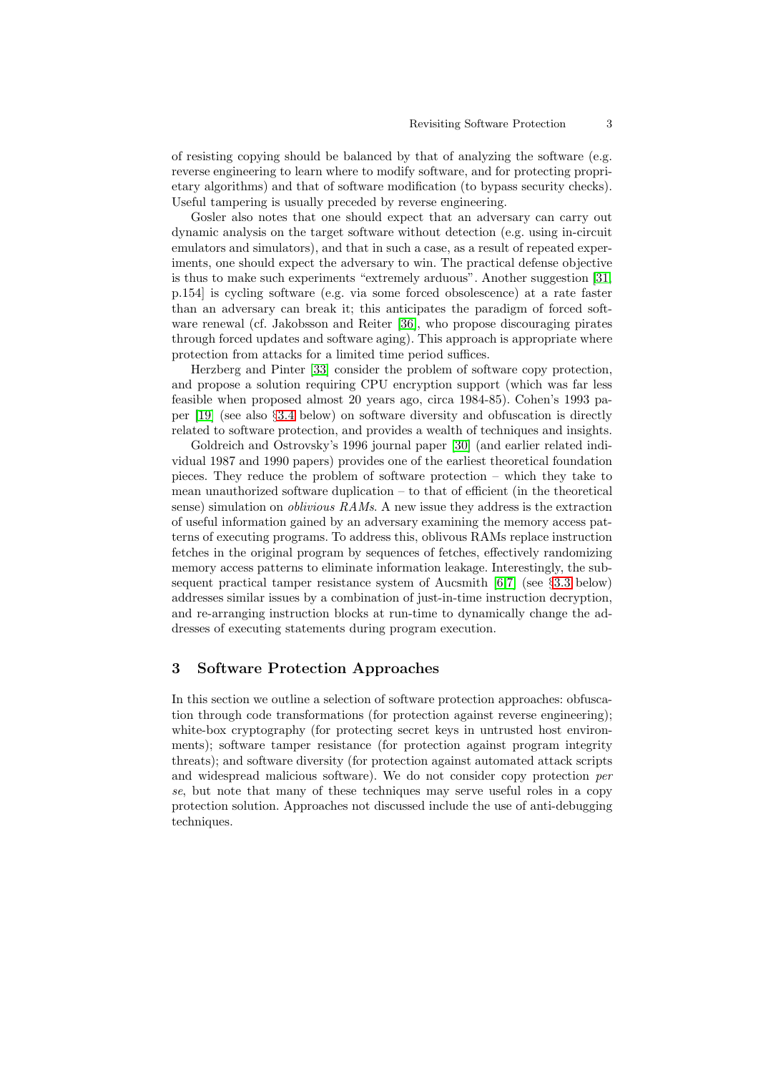of resisting copying should be balanced by that of analyzing the software (e.g. reverse engineering to learn where to modify software, and for protecting proprietary algorithms) and that of software modification (to bypass security checks). Useful tampering is usually preceded by reverse engineering.

Gosler also notes that one should expect that an adversary can carry out dynamic analysis on the target software without detection (e.g. using in-circuit emulators and simulators), and that in such a case, as a result of repeated experiments, one should expect the adversary to win. The practical defense objective is thus to make such experiments "extremely arduous". Another suggestion [\[31,](#page-11-3) p.154] is cycling software (e.g. via some forced obsolescence) at a rate faster than an adversary can break it; this anticipates the paradigm of forced software renewal (cf. Jakobsson and Reiter [\[36\]](#page-11-4), who propose discouraging pirates through forced updates and software aging). This approach is appropriate where protection from attacks for a limited time period suffices.

Herzberg and Pinter [\[33\]](#page-11-5) consider the problem of software copy protection, and propose a solution requiring CPU encryption support (which was far less feasible when proposed almost 20 years ago, circa 1984-85). Cohen's 1993 paper [\[19\]](#page-11-6) (see also *§*[3.4](#page-5-0) below) on software diversity and obfuscation is directly related to software protection, and provides a wealth of techniques and insights.

Goldreich and Ostrovsky's 1996 journal paper [\[30\]](#page-11-7) (and earlier related individual 1987 and 1990 papers) provides one of the earliest theoretical foundation pieces. They reduce the problem of software protection – which they take to mean unauthorized software duplication – to that of efficient (in the theoretical sense) simulation on *oblivious RAMs*. A new issue they address is the extraction of useful information gained by an adversary examining the memory access patterns of executing programs. To address this, oblivous RAMs replace instruction fetches in the original program by sequences of fetches, effectively randomizing memory access patterns to eliminate information leakage. Interestingly, the subsequent practical tamper resistance system of Aucsmith [\[6,](#page-10-0)[7\]](#page-10-1) (see *§*[3.3](#page-4-0) below) addresses similar issues by a combination of just-in-time instruction decryption, and re-arranging instruction blocks at run-time to dynamically change the addresses of executing statements during program execution.

### <span id="page-2-0"></span>**3 Software Protection Approaches**

In this section we outline a selection of software protection approaches: obfuscation through code transformations (for protection against reverse engineering); white-box cryptography (for protecting secret keys in untrusted host environments); software tamper resistance (for protection against program integrity threats); and software diversity (for protection against automated attack scripts and widespread malicious software). We do not consider copy protection *per se*, but note that many of these techniques may serve useful roles in a copy protection solution. Approaches not discussed include the use of anti-debugging techniques.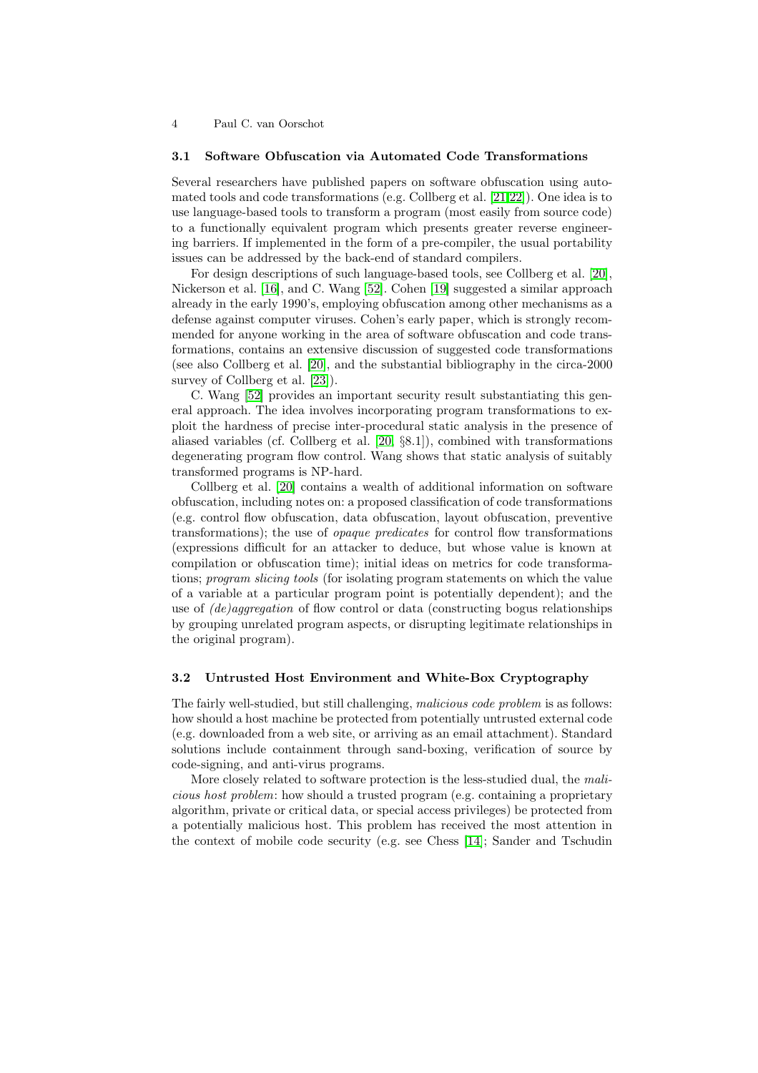#### <span id="page-3-1"></span>**3.1 Software Obfuscation via Automated Code Transformations**

Several researchers have published papers on software obfuscation using automated tools and code transformations (e.g. Collberg et al. [\[21](#page-11-8)[,22\]](#page-11-9)). One idea is to use language-based tools to transform a program (most easily from source code) to a functionally equivalent program which presents greater reverse engineering barriers. If implemented in the form of a pre-compiler, the usual portability issues can be addressed by the back-end of standard compilers.

For design descriptions of such language-based tools, see Collberg et al. [\[20\]](#page-11-10), Nickerson et al. [\[16\]](#page-10-2), and C. Wang [\[52\]](#page-12-2). Cohen [\[19\]](#page-11-6) suggested a similar approach already in the early 1990's, employing obfuscation among other mechanisms as a defense against computer viruses. Cohen's early paper, which is strongly recommended for anyone working in the area of software obfuscation and code transformations, contains an extensive discussion of suggested code transformations (see also Collberg et al. [\[20\]](#page-11-10), and the substantial bibliography in the circa-2000 survey of Collberg et al. [\[23\]](#page-11-11)).

C. Wang [\[52\]](#page-12-2) provides an important security result substantiating this general approach. The idea involves incorporating program transformations to exploit the hardness of precise inter-procedural static analysis in the presence of aliased variables (cf. Collberg et al. [\[20,](#page-11-10) *§*8.1]), combined with transformations degenerating program flow control. Wang shows that static analysis of suitably transformed programs is NP-hard.

Collberg et al. [\[20\]](#page-11-10) contains a wealth of additional information on software obfuscation, including notes on: a proposed classification of code transformations (e.g. control flow obfuscation, data obfuscation, layout obfuscation, preventive transformations); the use of *opaque predicates* for control flow transformations (expressions difficult for an attacker to deduce, but whose value is known at compilation or obfuscation time); initial ideas on metrics for code transformations; *program slicing tools* (for isolating program statements on which the value of a variable at a particular program point is potentially dependent); and the use of *(de)aggregation* of flow control or data (constructing bogus relationships by grouping unrelated program aspects, or disrupting legitimate relationships in the original program).

### <span id="page-3-0"></span>**3.2 Untrusted Host Environment and White-Box Cryptography**

The fairly well-studied, but still challenging, *malicious code problem* is as follows: how should a host machine be protected from potentially untrusted external code (e.g. downloaded from a web site, or arriving as an email attachment). Standard solutions include containment through sand-boxing, verification of source by code-signing, and anti-virus programs.

More closely related to software protection is the less-studied dual, the *malicious host problem*: how should a trusted program (e.g. containing a proprietary algorithm, private or critical data, or special access privileges) be protected from a potentially malicious host. This problem has received the most attention in the context of mobile code security (e.g. see Chess [\[14\]](#page-10-3); Sander and Tschudin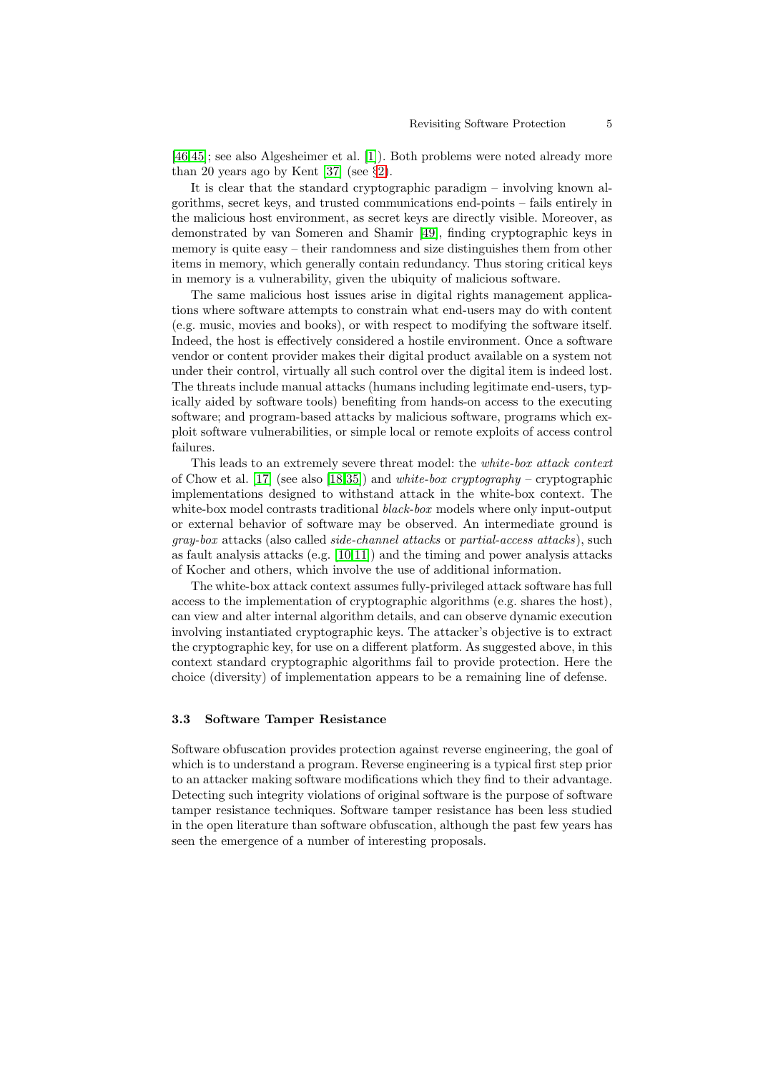[\[46](#page-12-3)[,45\]](#page-12-4); see also Algesheimer et al. [\[1\]](#page-10-4)). Both problems were noted already more than 20 years ago by Kent [\[37\]](#page-11-2) (see *§*[2\)](#page-1-0).

It is clear that the standard cryptographic paradigm – involving known algorithms, secret keys, and trusted communications end-points – fails entirely in the malicious host environment, as secret keys are directly visible. Moreover, as demonstrated by van Someren and Shamir [\[49\]](#page-12-5), finding cryptographic keys in memory is quite easy – their randomness and size distinguishes them from other items in memory, which generally contain redundancy. Thus storing critical keys in memory is a vulnerability, given the ubiquity of malicious software.

The same malicious host issues arise in digital rights management applications where software attempts to constrain what end-users may do with content (e.g. music, movies and books), or with respect to modifying the software itself. Indeed, the host is effectively considered a hostile environment. Once a software vendor or content provider makes their digital product available on a system not under their control, virtually all such control over the digital item is indeed lost. The threats include manual attacks (humans including legitimate end-users, typically aided by software tools) benefiting from hands-on access to the executing software; and program-based attacks by malicious software, programs which exploit software vulnerabilities, or simple local or remote exploits of access control failures.

This leads to an extremely severe threat model: the *white-box attack context* of Chow et al. [\[17\]](#page-10-5) (see also [\[18,](#page-10-6)[35\]](#page-11-12)) and *white-box cryptography* – cryptographic implementations designed to withstand attack in the white-box context. The white-box model contrasts traditional *black-box* models where only input-output or external behavior of software may be observed. An intermediate ground is *gray-box* attacks (also called *side-channel attacks* or *partial-access attacks*), such as fault analysis attacks (e.g.  $[10,11]$  $[10,11]$ ) and the timing and power analysis attacks of Kocher and others, which involve the use of additional information.

The white-box attack context assumes fully-privileged attack software has full access to the implementation of cryptographic algorithms (e.g. shares the host), can view and alter internal algorithm details, and can observe dynamic execution involving instantiated cryptographic keys. The attacker's objective is to extract the cryptographic key, for use on a different platform. As suggested above, in this context standard cryptographic algorithms fail to provide protection. Here the choice (diversity) of implementation appears to be a remaining line of defense.

### <span id="page-4-0"></span>**3.3 Software Tamper Resistance**

Software obfuscation provides protection against reverse engineering, the goal of which is to understand a program. Reverse engineering is a typical first step prior to an attacker making software modifications which they find to their advantage. Detecting such integrity violations of original software is the purpose of software tamper resistance techniques. Software tamper resistance has been less studied in the open literature than software obfuscation, although the past few years has seen the emergence of a number of interesting proposals.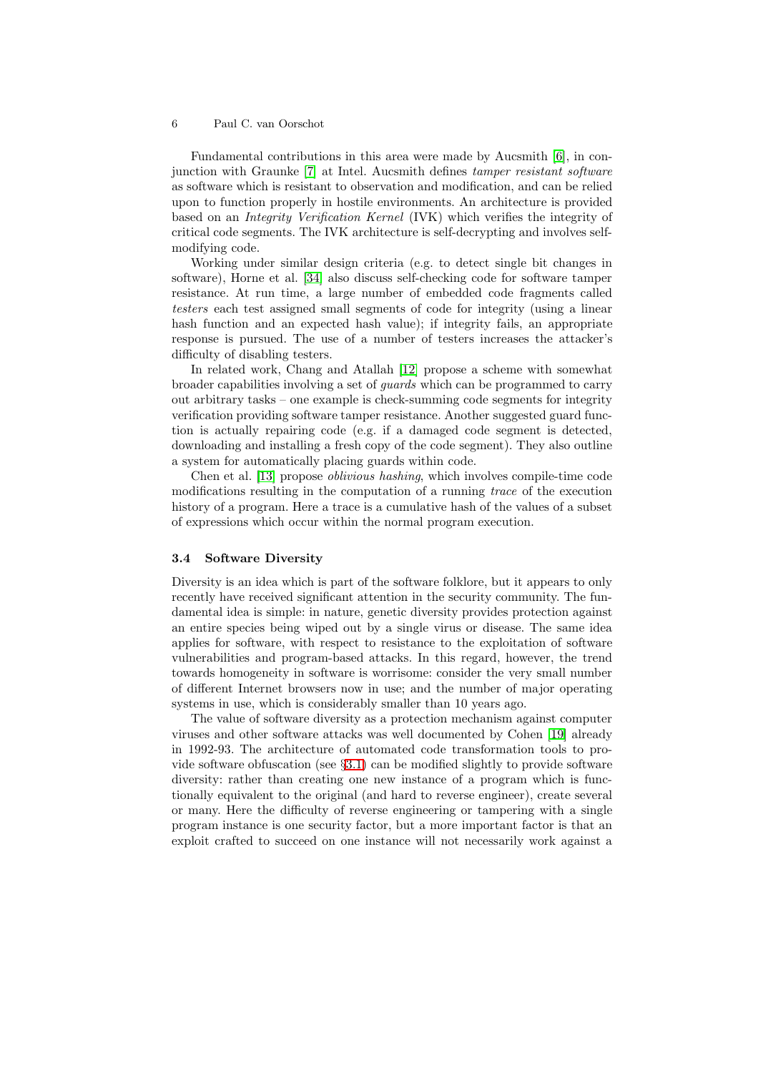Fundamental contributions in this area were made by Aucsmith [\[6\]](#page-10-0), in conjunction with Graunke [\[7\]](#page-10-1) at Intel. Aucsmith defines *tamper resistant software* as software which is resistant to observation and modification, and can be relied upon to function properly in hostile environments. An architecture is provided based on an *Integrity Verification Kernel* (IVK) which verifies the integrity of critical code segments. The IVK architecture is self-decrypting and involves selfmodifying code.

Working under similar design criteria (e.g. to detect single bit changes in software), Horne et al. [\[34\]](#page-11-13) also discuss self-checking code for software tamper resistance. At run time, a large number of embedded code fragments called *testers* each test assigned small segments of code for integrity (using a linear hash function and an expected hash value); if integrity fails, an appropriate response is pursued. The use of a number of testers increases the attacker's difficulty of disabling testers.

In related work, Chang and Atallah [\[12\]](#page-10-9) propose a scheme with somewhat broader capabilities involving a set of *guards* which can be programmed to carry out arbitrary tasks – one example is check-summing code segments for integrity verification providing software tamper resistance. Another suggested guard function is actually repairing code (e.g. if a damaged code segment is detected, downloading and installing a fresh copy of the code segment). They also outline a system for automatically placing guards within code.

Chen et al. [\[13\]](#page-10-10) propose *oblivious hashing*, which involves compile-time code modifications resulting in the computation of a running *trace* of the execution history of a program. Here a trace is a cumulative hash of the values of a subset of expressions which occur within the normal program execution.

### <span id="page-5-0"></span>**3.4 Software Diversity**

Diversity is an idea which is part of the software folklore, but it appears to only recently have received significant attention in the security community. The fundamental idea is simple: in nature, genetic diversity provides protection against an entire species being wiped out by a single virus or disease. The same idea applies for software, with respect to resistance to the exploitation of software vulnerabilities and program-based attacks. In this regard, however, the trend towards homogeneity in software is worrisome: consider the very small number of different Internet browsers now in use; and the number of major operating systems in use, which is considerably smaller than 10 years ago.

The value of software diversity as a protection mechanism against computer viruses and other software attacks was well documented by Cohen [\[19\]](#page-11-6) already in 1992-93. The architecture of automated code transformation tools to provide software obfuscation (see *§*[3.1\)](#page-3-1) can be modified slightly to provide software diversity: rather than creating one new instance of a program which is functionally equivalent to the original (and hard to reverse engineer), create several or many. Here the difficulty of reverse engineering or tampering with a single program instance is one security factor, but a more important factor is that an exploit crafted to succeed on one instance will not necessarily work against a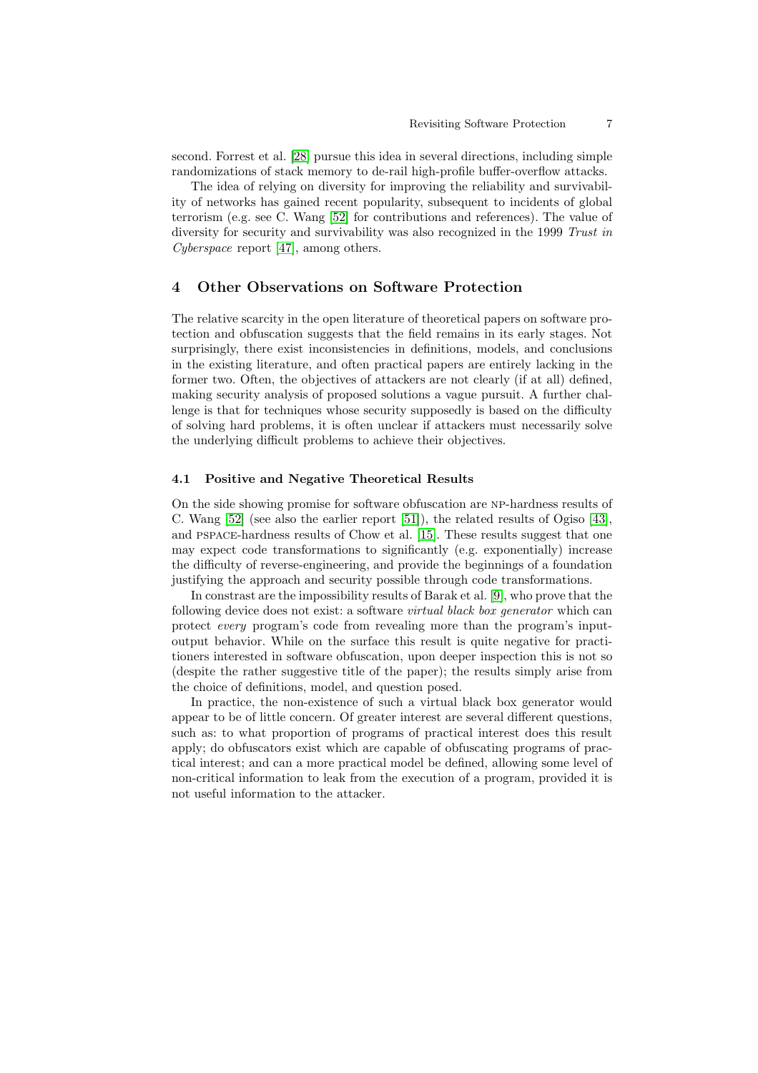second. Forrest et al. [\[28\]](#page-11-14) pursue this idea in several directions, including simple randomizations of stack memory to de-rail high-profile buffer-overflow attacks.

The idea of relying on diversity for improving the reliability and survivability of networks has gained recent popularity, subsequent to incidents of global terrorism (e.g. see C. Wang [\[52\]](#page-12-2) for contributions and references). The value of diversity for security and survivability was also recognized in the 1999 *Trust in Cyberspace* report [\[47\]](#page-12-6), among others.

## <span id="page-6-0"></span>**4 Other Observations on Software Protection**

The relative scarcity in the open literature of theoretical papers on software protection and obfuscation suggests that the field remains in its early stages. Not surprisingly, there exist inconsistencies in definitions, models, and conclusions in the existing literature, and often practical papers are entirely lacking in the former two. Often, the objectives of attackers are not clearly (if at all) defined, making security analysis of proposed solutions a vague pursuit. A further challenge is that for techniques whose security supposedly is based on the difficulty of solving hard problems, it is often unclear if attackers must necessarily solve the underlying difficult problems to achieve their objectives.

### **4.1 Positive and Negative Theoretical Results**

On the side showing promise for software obfuscation are np-hardness results of C. Wang [\[52\]](#page-12-2) (see also the earlier report [\[51\]](#page-12-7)), the related results of Ogiso [\[43\]](#page-12-8), and pspace-hardness results of Chow et al. [\[15\]](#page-10-11). These results suggest that one may expect code transformations to significantly (e.g. exponentially) increase the difficulty of reverse-engineering, and provide the beginnings of a foundation justifying the approach and security possible through code transformations.

In constrast are the impossibility results of Barak et al. [\[9\]](#page-10-12), who prove that the following device does not exist: a software *virtual black box generator* which can protect *every* program's code from revealing more than the program's inputoutput behavior. While on the surface this result is quite negative for practitioners interested in software obfuscation, upon deeper inspection this is not so (despite the rather suggestive title of the paper); the results simply arise from the choice of definitions, model, and question posed.

In practice, the non-existence of such a virtual black box generator would appear to be of little concern. Of greater interest are several different questions, such as: to what proportion of programs of practical interest does this result apply; do obfuscators exist which are capable of obfuscating programs of practical interest; and can a more practical model be defined, allowing some level of non-critical information to leak from the execution of a program, provided it is not useful information to the attacker.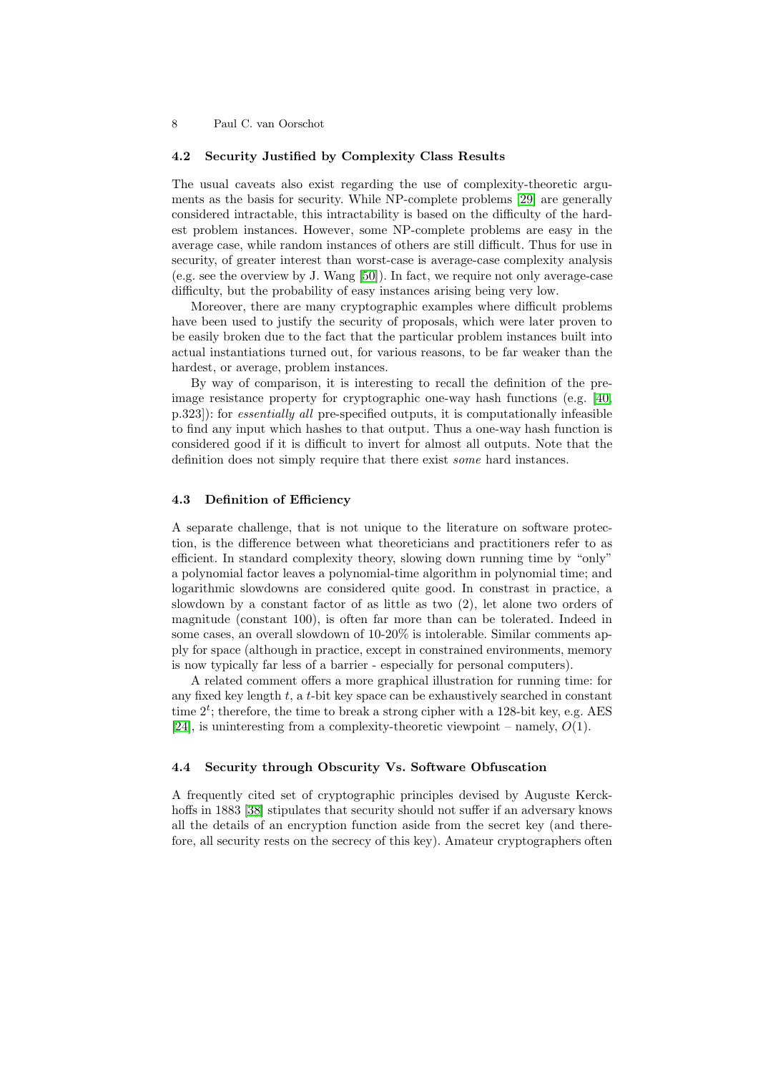#### **4.2 Security Justified by Complexity Class Results**

The usual caveats also exist regarding the use of complexity-theoretic arguments as the basis for security. While NP-complete problems [\[29\]](#page-11-15) are generally considered intractable, this intractability is based on the difficulty of the hardest problem instances. However, some NP-complete problems are easy in the average case, while random instances of others are still difficult. Thus for use in security, of greater interest than worst-case is average-case complexity analysis (e.g. see the overview by J. Wang [\[50\]](#page-12-9)). In fact, we require not only average-case difficulty, but the probability of easy instances arising being very low.

Moreover, there are many cryptographic examples where difficult problems have been used to justify the security of proposals, which were later proven to be easily broken due to the fact that the particular problem instances built into actual instantiations turned out, for various reasons, to be far weaker than the hardest, or average, problem instances.

By way of comparison, it is interesting to recall the definition of the preimage resistance property for cryptographic one-way hash functions (e.g. [\[40,](#page-12-10) p.323]): for *essentially all* pre-specified outputs, it is computationally infeasible to find any input which hashes to that output. Thus a one-way hash function is considered good if it is difficult to invert for almost all outputs. Note that the definition does not simply require that there exist *some* hard instances.

#### **4.3 Definition of Efficiency**

A separate challenge, that is not unique to the literature on software protection, is the difference between what theoreticians and practitioners refer to as efficient. In standard complexity theory, slowing down running time by "only" a polynomial factor leaves a polynomial-time algorithm in polynomial time; and logarithmic slowdowns are considered quite good. In constrast in practice, a slowdown by a constant factor of as little as two (2), let alone two orders of magnitude (constant 100), is often far more than can be tolerated. Indeed in some cases, an overall slowdown of 10-20% is intolerable. Similar comments apply for space (although in practice, except in constrained environments, memory is now typically far less of a barrier - especially for personal computers).

A related comment offers a more graphical illustration for running time: for any fixed key length *t*, a *t*-bit key space can be exhaustively searched in constant time  $2^t$ ; therefore, the time to break a strong cipher with a 128-bit key, e.g. AES [\[24\]](#page-11-16), is uninteresting from a complexity-theoretic viewpoint – namely, *O*(1).

#### **4.4 Security through Obscurity Vs. Software Obfuscation**

A frequently cited set of cryptographic principles devised by Auguste Kerck-hoffs in 1883 [\[38\]](#page-11-17) stipulates that security should not suffer if an adversary knows all the details of an encryption function aside from the secret key (and therefore, all security rests on the secrecy of this key). Amateur cryptographers often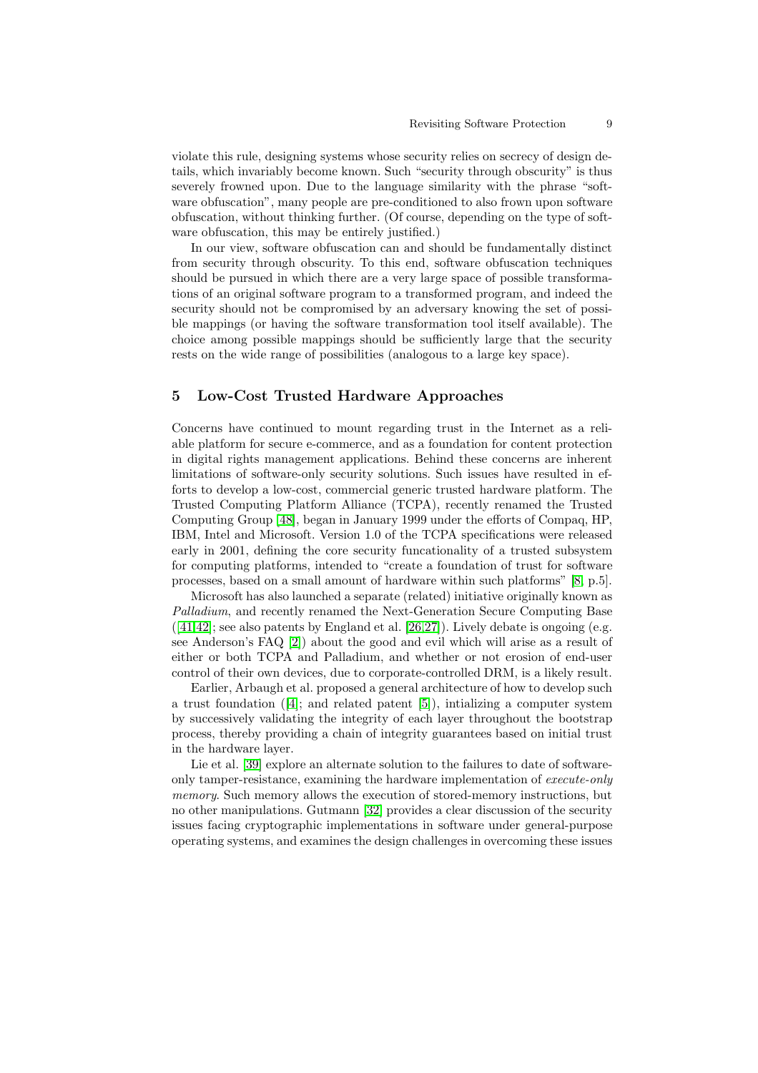violate this rule, designing systems whose security relies on secrecy of design details, which invariably become known. Such "security through obscurity" is thus severely frowned upon. Due to the language similarity with the phrase "software obfuscation", many people are pre-conditioned to also frown upon software obfuscation, without thinking further. (Of course, depending on the type of software obfuscation, this may be entirely justified.)

In our view, software obfuscation can and should be fundamentally distinct from security through obscurity. To this end, software obfuscation techniques should be pursued in which there are a very large space of possible transformations of an original software program to a transformed program, and indeed the security should not be compromised by an adversary knowing the set of possible mappings (or having the software transformation tool itself available). The choice among possible mappings should be sufficiently large that the security rests on the wide range of possibilities (analogous to a large key space).

## <span id="page-8-0"></span>**5 Low-Cost Trusted Hardware Approaches**

Concerns have continued to mount regarding trust in the Internet as a reliable platform for secure e-commerce, and as a foundation for content protection in digital rights management applications. Behind these concerns are inherent limitations of software-only security solutions. Such issues have resulted in efforts to develop a low-cost, commercial generic trusted hardware platform. The Trusted Computing Platform Alliance (TCPA), recently renamed the Trusted Computing Group [\[48\]](#page-12-11), began in January 1999 under the efforts of Compaq, HP, IBM, Intel and Microsoft. Version 1.0 of the TCPA specifications were released early in 2001, defining the core security funcationality of a trusted subsystem for computing platforms, intended to "create a foundation of trust for software processes, based on a small amount of hardware within such platforms" [\[8,](#page-10-13) p.5].

Microsoft has also launched a separate (related) initiative originally known as *Palladium*, and recently renamed the Next-Generation Secure Computing Base  $([41, 42]$  $([41, 42]$  $([41, 42]$ ; see also patents by England et al.  $[26, 27]$  $[26, 27]$ ). Lively debate is ongoing (e.g. see Anderson's FAQ [\[2\]](#page-10-14)) about the good and evil which will arise as a result of either or both TCPA and Palladium, and whether or not erosion of end-user control of their own devices, due to corporate-controlled DRM, is a likely result.

Earlier, Arbaugh et al. proposed a general architecture of how to develop such a trust foundation ([\[4\]](#page-10-15); and related patent [\[5\]](#page-10-16)), intializing a computer system by successively validating the integrity of each layer throughout the bootstrap process, thereby providing a chain of integrity guarantees based on initial trust in the hardware layer.

Lie et al. [\[39\]](#page-12-13) explore an alternate solution to the failures to date of softwareonly tamper-resistance, examining the hardware implementation of *execute-only memory*. Such memory allows the execution of stored-memory instructions, but no other manipulations. Gutmann [\[32\]](#page-11-20) provides a clear discussion of the security issues facing cryptographic implementations in software under general-purpose operating systems, and examines the design challenges in overcoming these issues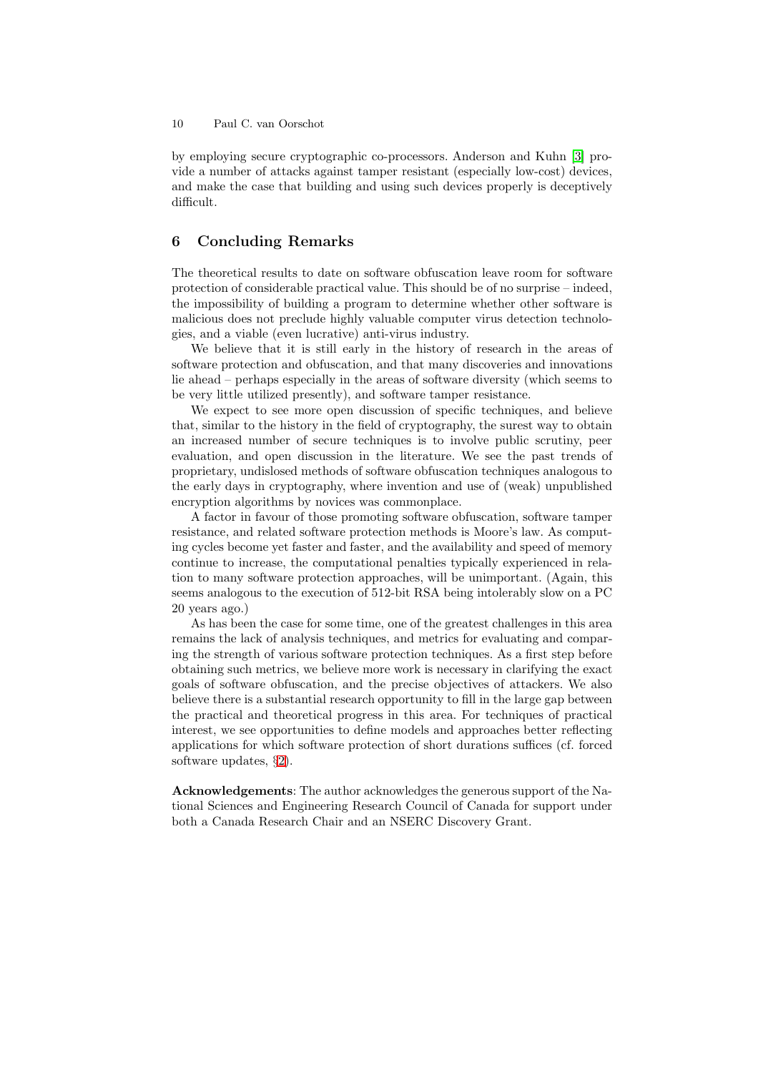by employing secure cryptographic co-processors. Anderson and Kuhn [\[3\]](#page-10-17) provide a number of attacks against tamper resistant (especially low-cost) devices, and make the case that building and using such devices properly is deceptively difficult.

## <span id="page-9-0"></span>**6 Concluding Remarks**

The theoretical results to date on software obfuscation leave room for software protection of considerable practical value. This should be of no surprise – indeed, the impossibility of building a program to determine whether other software is malicious does not preclude highly valuable computer virus detection technologies, and a viable (even lucrative) anti-virus industry.

We believe that it is still early in the history of research in the areas of software protection and obfuscation, and that many discoveries and innovations lie ahead – perhaps especially in the areas of software diversity (which seems to be very little utilized presently), and software tamper resistance.

We expect to see more open discussion of specific techniques, and believe that, similar to the history in the field of cryptography, the surest way to obtain an increased number of secure techniques is to involve public scrutiny, peer evaluation, and open discussion in the literature. We see the past trends of proprietary, undislosed methods of software obfuscation techniques analogous to the early days in cryptography, where invention and use of (weak) unpublished encryption algorithms by novices was commonplace.

A factor in favour of those promoting software obfuscation, software tamper resistance, and related software protection methods is Moore's law. As computing cycles become yet faster and faster, and the availability and speed of memory continue to increase, the computational penalties typically experienced in relation to many software protection approaches, will be unimportant. (Again, this seems analogous to the execution of 512-bit RSA being intolerably slow on a PC 20 years ago.)

As has been the case for some time, one of the greatest challenges in this area remains the lack of analysis techniques, and metrics for evaluating and comparing the strength of various software protection techniques. As a first step before obtaining such metrics, we believe more work is necessary in clarifying the exact goals of software obfuscation, and the precise objectives of attackers. We also believe there is a substantial research opportunity to fill in the large gap between the practical and theoretical progress in this area. For techniques of practical interest, we see opportunities to define models and approaches better reflecting applications for which software protection of short durations suffices (cf. forced software updates, *§*[2\)](#page-1-0).

**Acknowledgements**: The author acknowledges the generous support of the National Sciences and Engineering Research Council of Canada for support under both a Canada Research Chair and an NSERC Discovery Grant.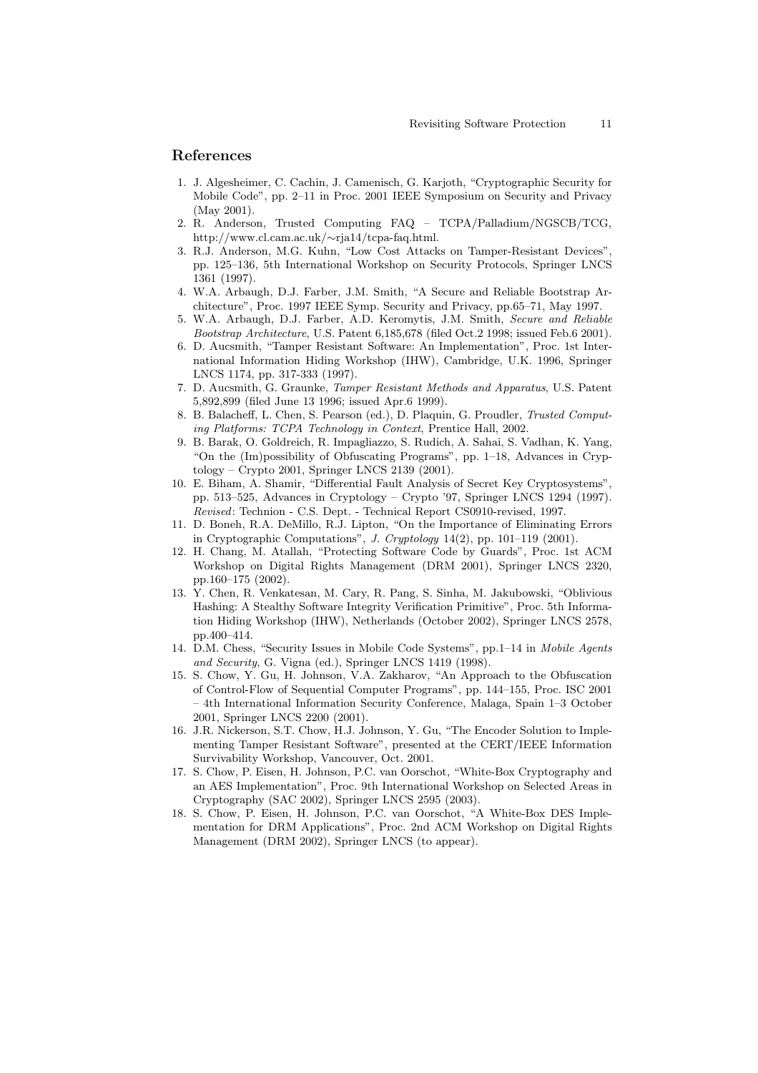### <span id="page-10-4"></span>**References**

- 1. J. Algesheimer, C. Cachin, J. Camenisch, G. Karjoth, "Cryptographic Security for Mobile Code", pp. 2–11 in Proc. 2001 IEEE Symposium on Security and Privacy (May 2001).
- <span id="page-10-14"></span>2. R. Anderson, Trusted Computing FAQ – TCPA/Palladium/NGSCB/TCG, http://www.cl.cam.ac.uk/∼rja14/tcpa-faq.html.
- <span id="page-10-17"></span>3. R.J. Anderson, M.G. Kuhn, "Low Cost Attacks on Tamper-Resistant Devices", pp. 125–136, 5th International Workshop on Security Protocols, Springer LNCS 1361 (1997).
- <span id="page-10-15"></span>4. W.A. Arbaugh, D.J. Farber, J.M. Smith, "A Secure and Reliable Bootstrap Architecture", Proc. 1997 IEEE Symp. Security and Privacy, pp.65–71, May 1997.
- <span id="page-10-16"></span>5. W.A. Arbaugh, D.J. Farber, A.D. Keromytis, J.M. Smith, *Secure and Reliable Bootstrap Architecture*, U.S. Patent 6,185,678 (filed Oct.2 1998; issued Feb.6 2001).
- <span id="page-10-0"></span>6. D. Aucsmith, "Tamper Resistant Software: An Implementation", Proc. 1st International Information Hiding Workshop (IHW), Cambridge, U.K. 1996, Springer LNCS 1174, pp. 317-333 (1997).
- <span id="page-10-1"></span>7. D. Aucsmith, G. Graunke, *Tamper Resistant Methods and Apparatus*, U.S. Patent 5,892,899 (filed June 13 1996; issued Apr.6 1999).
- <span id="page-10-13"></span>8. B. Balacheff, L. Chen, S. Pearson (ed.), D. Plaquin, G. Proudler, *Trusted Computing Platforms: TCPA Technology in Context*, Prentice Hall, 2002.
- <span id="page-10-12"></span>9. B. Barak, O. Goldreich, R. Impagliazzo, S. Rudich, A. Sahai, S. Vadhan, K. Yang, "On the (Im)possibility of Obfuscating Programs", pp. 1–18, Advances in Cryptology – Crypto 2001, Springer LNCS 2139 (2001).
- <span id="page-10-7"></span>10. E. Biham, A. Shamir, "Differential Fault Analysis of Secret Key Cryptosystems", pp. 513–525, Advances in Cryptology – Crypto '97, Springer LNCS 1294 (1997). *Revised*: Technion - C.S. Dept. - Technical Report CS0910-revised, 1997.
- <span id="page-10-8"></span>11. D. Boneh, R.A. DeMillo, R.J. Lipton, "On the Importance of Eliminating Errors in Cryptographic Computations", *J. Cryptology* 14(2), pp. 101–119 (2001).
- <span id="page-10-9"></span>12. H. Chang, M. Atallah, "Protecting Software Code by Guards", Proc. 1st ACM Workshop on Digital Rights Management (DRM 2001), Springer LNCS 2320, pp.160–175 (2002).
- <span id="page-10-10"></span>13. Y. Chen, R. Venkatesan, M. Cary, R. Pang, S. Sinha, M. Jakubowski, "Oblivious Hashing: A Stealthy Software Integrity Verification Primitive", Proc. 5th Information Hiding Workshop (IHW), Netherlands (October 2002), Springer LNCS 2578, pp.400–414.
- <span id="page-10-3"></span>14. D.M. Chess, "Security Issues in Mobile Code Systems", pp.1–14 in *Mobile Agents and Security*, G. Vigna (ed.), Springer LNCS 1419 (1998).
- <span id="page-10-11"></span>15. S. Chow, Y. Gu, H. Johnson, V.A. Zakharov, "An Approach to the Obfuscation of Control-Flow of Sequential Computer Programs", pp. 144–155, Proc. ISC 2001 – 4th International Information Security Conference, Malaga, Spain 1–3 October 2001, Springer LNCS 2200 (2001).
- <span id="page-10-2"></span>16. J.R. Nickerson, S.T. Chow, H.J. Johnson, Y. Gu, "The Encoder Solution to Implementing Tamper Resistant Software", presented at the CERT/IEEE Information Survivability Workshop, Vancouver, Oct. 2001.
- <span id="page-10-5"></span>17. S. Chow, P. Eisen, H. Johnson, P.C. van Oorschot, "White-Box Cryptography and an AES Implementation", Proc. 9th International Workshop on Selected Areas in Cryptography (SAC 2002), Springer LNCS 2595 (2003).
- <span id="page-10-6"></span>18. S. Chow, P. Eisen, H. Johnson, P.C. van Oorschot, "A White-Box DES Implementation for DRM Applications", Proc. 2nd ACM Workshop on Digital Rights Management (DRM 2002), Springer LNCS (to appear).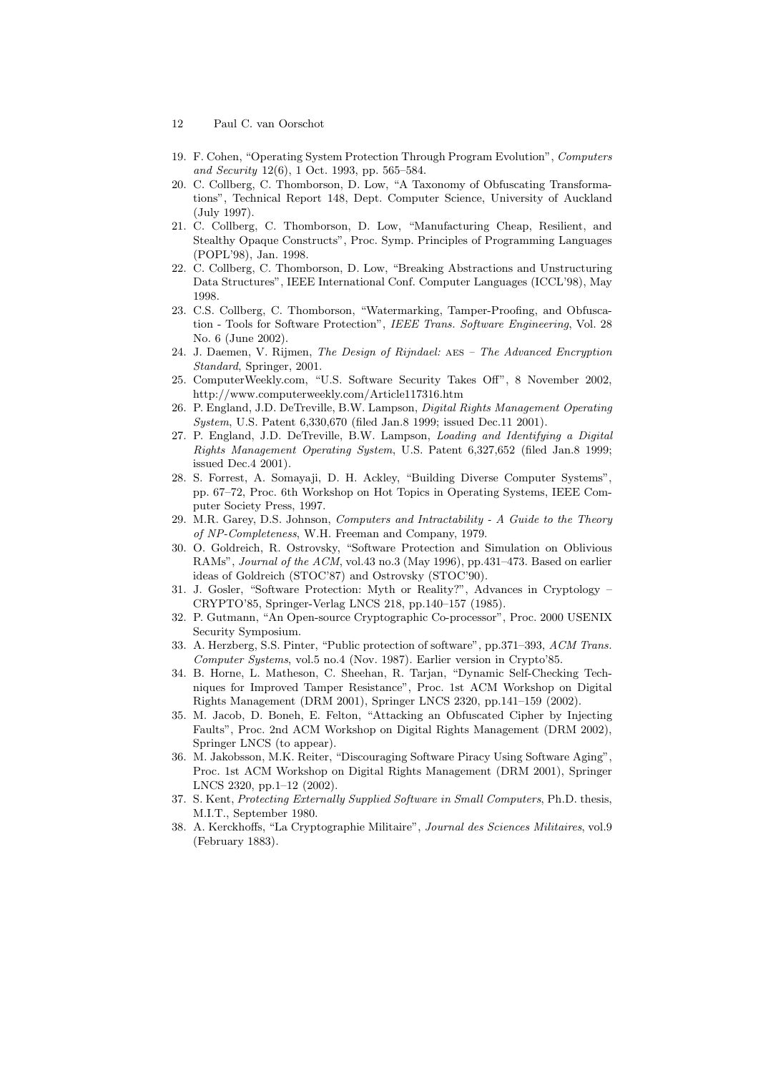- <span id="page-11-1"></span>12 Paul C. van Oorschot
- <span id="page-11-6"></span>19. F. Cohen, "Operating System Protection Through Program Evolution", *Computers and Security* 12(6), 1 Oct. 1993, pp. 565–584.
- <span id="page-11-10"></span>20. C. Collberg, C. Thomborson, D. Low, "A Taxonomy of Obfuscating Transformations", Technical Report 148, Dept. Computer Science, University of Auckland (July 1997).
- <span id="page-11-8"></span>21. C. Collberg, C. Thomborson, D. Low, "Manufacturing Cheap, Resilient, and Stealthy Opaque Constructs", Proc. Symp. Principles of Programming Languages (POPL'98), Jan. 1998.
- <span id="page-11-9"></span>22. C. Collberg, C. Thomborson, D. Low, "Breaking Abstractions and Unstructuring Data Structures", IEEE International Conf. Computer Languages (ICCL'98), May 1998.
- <span id="page-11-11"></span>23. C.S. Collberg, C. Thomborson, "Watermarking, Tamper-Proofing, and Obfuscation - Tools for Software Protection", *IEEE Trans. Software Engineering*, Vol. 28 No. 6 (June 2002).
- <span id="page-11-16"></span><span id="page-11-0"></span>24. J. Daemen, V. Rijmen, *The Design of Rijndael:* aes *– The Advanced Encryption Standard*, Springer, 2001.
- 25. ComputerWeekly.com, "U.S. Software Security Takes Off", 8 November 2002, http://www.computerweekly.com/Article117316.htm
- <span id="page-11-18"></span>26. P. England, J.D. DeTreville, B.W. Lampson, *Digital Rights Management Operating System*, U.S. Patent 6,330,670 (filed Jan.8 1999; issued Dec.11 2001).
- <span id="page-11-19"></span>27. P. England, J.D. DeTreville, B.W. Lampson, *Loading and Identifying a Digital Rights Management Operating System*, U.S. Patent 6,327,652 (filed Jan.8 1999; issued Dec.4 2001).
- <span id="page-11-14"></span>28. S. Forrest, A. Somayaji, D. H. Ackley, "Building Diverse Computer Systems", pp. 67–72, Proc. 6th Workshop on Hot Topics in Operating Systems, IEEE Computer Society Press, 1997.
- <span id="page-11-15"></span>29. M.R. Garey, D.S. Johnson, *Computers and Intractability - A Guide to the Theory of NP-Completeness*, W.H. Freeman and Company, 1979.
- <span id="page-11-7"></span>30. O. Goldreich, R. Ostrovsky, "Software Protection and Simulation on Oblivious RAMs", *Journal of the ACM*, vol.43 no.3 (May 1996), pp.431–473. Based on earlier ideas of Goldreich (STOC'87) and Ostrovsky (STOC'90).
- <span id="page-11-3"></span>31. J. Gosler, "Software Protection: Myth or Reality?", Advances in Cryptology – CRYPTO'85, Springer-Verlag LNCS 218, pp.140–157 (1985).
- <span id="page-11-20"></span>32. P. Gutmann, "An Open-source Cryptographic Co-processor", Proc. 2000 USENIX Security Symposium.
- <span id="page-11-5"></span>33. A. Herzberg, S.S. Pinter, "Public protection of software", pp.371–393, *ACM Trans. Computer Systems*, vol.5 no.4 (Nov. 1987). Earlier version in Crypto'85.
- <span id="page-11-13"></span>34. B. Horne, L. Matheson, C. Sheehan, R. Tarjan, "Dynamic Self-Checking Techniques for Improved Tamper Resistance", Proc. 1st ACM Workshop on Digital Rights Management (DRM 2001), Springer LNCS 2320, pp.141–159 (2002).
- <span id="page-11-12"></span>35. M. Jacob, D. Boneh, E. Felton, "Attacking an Obfuscated Cipher by Injecting Faults", Proc. 2nd ACM Workshop on Digital Rights Management (DRM 2002), Springer LNCS (to appear).
- <span id="page-11-4"></span>36. M. Jakobsson, M.K. Reiter, "Discouraging Software Piracy Using Software Aging", Proc. 1st ACM Workshop on Digital Rights Management (DRM 2001), Springer LNCS 2320, pp.1–12 (2002).
- <span id="page-11-2"></span>37. S. Kent, *Protecting Externally Supplied Software in Small Computers*, Ph.D. thesis, M.I.T., September 1980.
- <span id="page-11-17"></span>38. A. Kerckhoffs, "La Cryptographie Militaire", *Journal des Sciences Militaires*, vol.9 (February 1883).